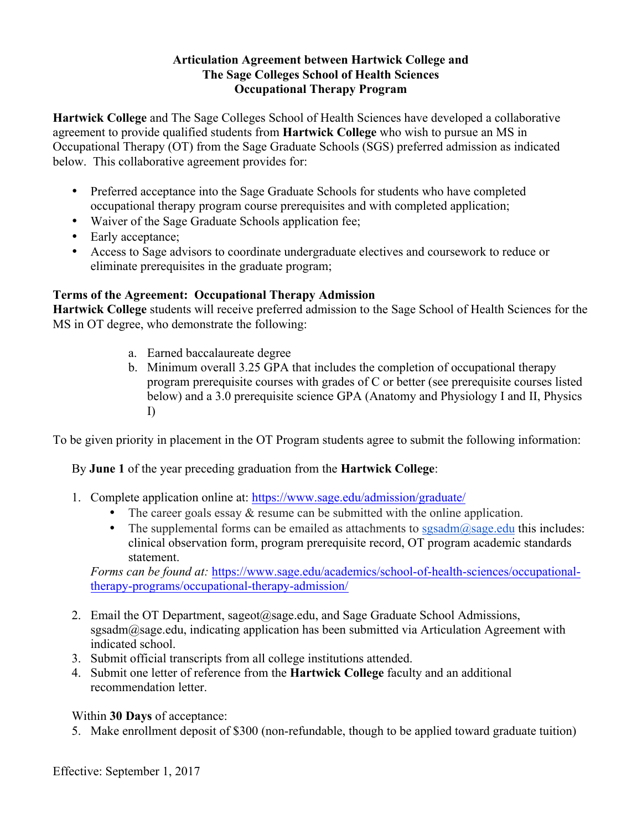## **Articulation Agreement between Hartwick College and The Sage Colleges School of Health Sciences Occupational Therapy Program**

**Hartwick College** and The Sage Colleges School of Health Sciences have developed a collaborative agreement to provide qualified students from **Hartwick College** who wish to pursue an MS in Occupational Therapy (OT) from the Sage Graduate Schools (SGS) preferred admission as indicated below. This collaborative agreement provides for:

- Preferred acceptance into the Sage Graduate Schools for students who have completed occupational therapy program course prerequisites and with completed application;
- Waiver of the Sage Graduate Schools application fee;
- Early acceptance;
- Access to Sage advisors to coordinate undergraduate electives and coursework to reduce or eliminate prerequisites in the graduate program;

## **Terms of the Agreement: Occupational Therapy Admission**

**Hartwick College** students will receive preferred admission to the Sage School of Health Sciences for the MS in OT degree, who demonstrate the following:

- a. Earned baccalaureate degree
- b. Minimum overall 3.25 GPA that includes the completion of occupational therapy program prerequisite courses with grades of C or better (see prerequisite courses listed below) and a 3.0 prerequisite science GPA (Anatomy and Physiology I and II, Physics I)

To be given priority in placement in the OT Program students agree to submit the following information:

## By **June 1** of the year preceding graduation from the **Hartwick College**:

- 1. Complete application online at: https://www.sage.edu/admission/graduate/
	- The career goals essay  $\&$  resume can be submitted with the online application.
	- The supplemental forms can be emailed as attachments to sgsadm $@$ sage.edu this includes: clinical observation form, program prerequisite record, OT program academic standards statement.

*Forms can be found at:* https://www.sage.edu/academics/school-of-health-sciences/occupationaltherapy-programs/occupational-therapy-admission/

- 2. Email the OT Department, sageot@sage.edu, and Sage Graduate School Admissions, sgsadm@sage.edu, indicating application has been submitted via Articulation Agreement with indicated school.
- 3. Submit official transcripts from all college institutions attended.
- 4. Submit one letter of reference from the **Hartwick College** faculty and an additional recommendation letter.

Within **30 Days** of acceptance:

5. Make enrollment deposit of \$300 (non-refundable, though to be applied toward graduate tuition)